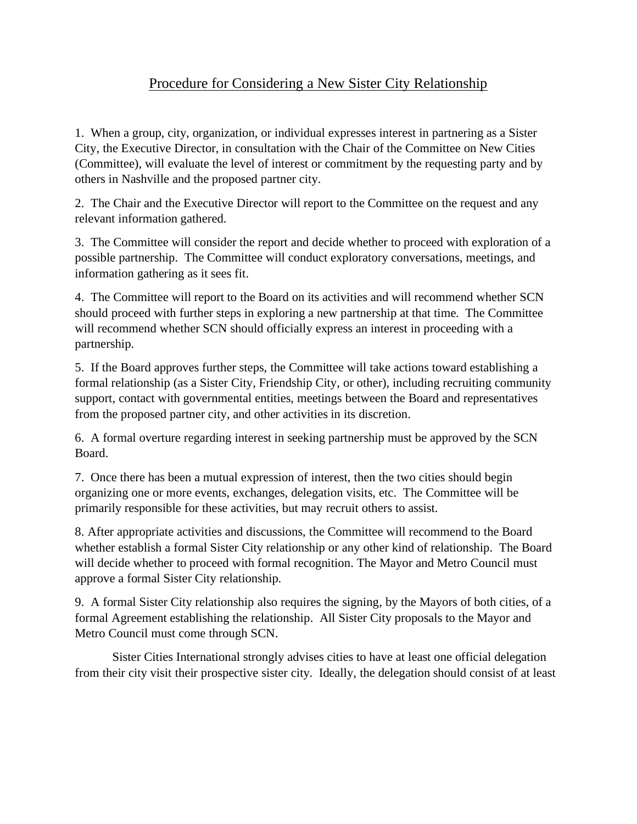## Procedure for Considering a New Sister City Relationship

1. When a group, city, organization, or individual expresses interest in partnering as a Sister City, the Executive Director, in consultation with the Chair of the Committee on New Cities (Committee), will evaluate the level of interest or commitment by the requesting party and by others in Nashville and the proposed partner city.

2. The Chair and the Executive Director will report to the Committee on the request and any relevant information gathered.

3. The Committee will consider the report and decide whether to proceed with exploration of a possible partnership. The Committee will conduct exploratory conversations, meetings, and information gathering as it sees fit.

4. The Committee will report to the Board on its activities and will recommend whether SCN should proceed with further steps in exploring a new partnership at that time. The Committee will recommend whether SCN should officially express an interest in proceeding with a partnership.

5. If the Board approves further steps, the Committee will take actions toward establishing a formal relationship (as a Sister City, Friendship City, or other), including recruiting community support, contact with governmental entities, meetings between the Board and representatives from the proposed partner city, and other activities in its discretion.

6. A formal overture regarding interest in seeking partnership must be approved by the SCN Board.

7. Once there has been a mutual expression of interest, then the two cities should begin organizing one or more events, exchanges, delegation visits, etc. The Committee will be primarily responsible for these activities, but may recruit others to assist.

8. After appropriate activities and discussions, the Committee will recommend to the Board whether establish a formal Sister City relationship or any other kind of relationship. The Board will decide whether to proceed with formal recognition. The Mayor and Metro Council must approve a formal Sister City relationship.

9. A formal Sister City relationship also requires the signing, by the Mayors of both cities, of a formal Agreement establishing the relationship. All Sister City proposals to the Mayor and Metro Council must come through SCN.

Sister Cities International strongly advises cities to have at least one official delegation from their city visit their prospective sister city. Ideally, the delegation should consist of at least